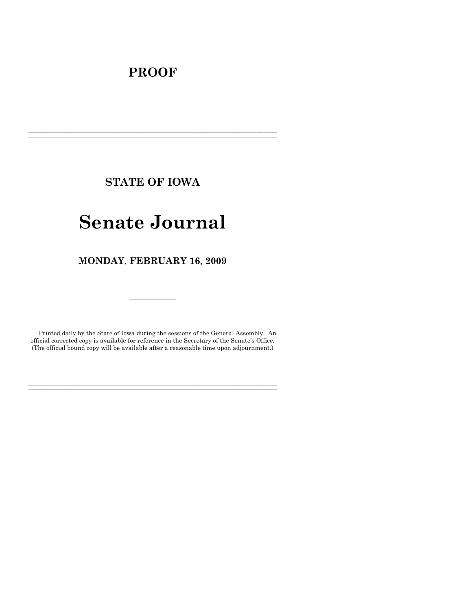## **PROOF**

**STATE OF IOWA** 

**\_\_\_\_\_\_\_\_\_\_\_\_\_\_\_\_\_\_\_\_\_\_\_\_\_\_\_\_\_\_\_\_\_\_\_\_\_\_\_\_\_\_\_\_\_\_\_\_\_\_\_\_\_\_\_\_\_\_\_\_\_\_\_\_\_\_\_\_\_\_\_\_\_\_\_\_\_\_\_\_\_\_\_\_\_\_\_\_\_\_\_\_\_\_\_\_\_\_\_\_\_\_\_\_\_\_\_\_\_\_\_\_\_\_\_\_\_\_\_\_\_\_\_\_\_\_\_\_\_ \_\_\_\_\_\_\_\_\_\_\_\_\_\_\_\_\_\_\_\_\_\_\_\_\_\_\_\_\_\_\_\_\_\_\_\_\_\_\_\_\_\_\_\_\_\_\_\_\_\_\_\_\_\_\_\_\_\_\_\_\_\_\_\_\_\_\_\_\_\_\_\_\_\_\_\_\_\_\_\_\_\_\_\_\_\_\_\_\_\_\_\_\_\_\_\_\_\_\_\_\_\_\_\_\_\_\_\_\_\_\_\_\_\_\_\_\_\_\_\_\_\_\_\_\_\_\_\_\_**

# **Senate Journal**

**MONDAY**, **FEBRUARY 16**, **2009** 

 $\mathcal{L}_\text{max}$ 

Printed daily by the State of Iowa during the sessions of the General Assembly. An official corrected copy is available for reference in the Secretary of the Senate's Office. (The official bound copy will be available after a reasonable time upon adjournment.)

**\_\_\_\_\_\_\_\_\_\_\_\_\_\_\_\_\_\_\_\_\_\_\_\_\_\_\_\_\_\_\_\_\_\_\_\_\_\_\_\_\_\_\_\_\_\_\_\_\_\_\_\_\_\_\_\_\_\_\_\_\_\_\_\_\_\_\_\_\_\_\_\_\_\_\_\_\_\_\_\_\_\_\_\_\_\_\_\_\_\_\_\_\_\_\_\_\_\_\_\_\_\_\_\_\_\_\_\_\_\_\_\_\_\_\_\_\_\_\_\_\_\_\_\_\_\_\_\_\_ \_\_\_\_\_\_\_\_\_\_\_\_\_\_\_\_\_\_\_\_\_\_\_\_\_\_\_\_\_\_\_\_\_\_\_\_\_\_\_\_\_\_\_\_\_\_\_\_\_\_\_\_\_\_\_\_\_\_\_\_\_\_\_\_\_\_\_\_\_\_\_\_\_\_\_\_\_\_\_\_\_\_\_\_\_\_\_\_\_\_\_\_\_\_\_\_\_\_\_\_\_\_\_\_\_\_\_\_\_\_\_\_\_\_\_\_\_\_\_\_\_\_\_\_\_\_\_\_\_**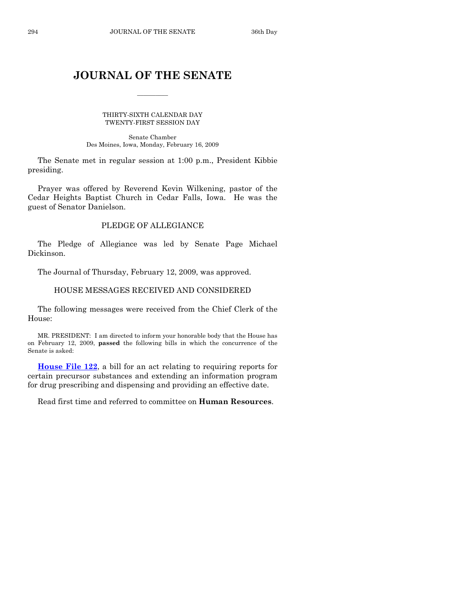## **JOURNAL OF THE SENATE**

\_\_\_\_\_\_\_\_\_\_

THIRTY-SIXTH CALENDAR DAY TWENTY-FIRST SESSION DAY

Senate Chamber Des Moines, Iowa, Monday, February 16, 2009

 The Senate met in regular session at 1:00 p.m., President Kibbie presiding.

 Prayer was offered by Reverend Kevin Wilkening, pastor of the Cedar Heights Baptist Church in Cedar Falls, Iowa. He was the guest of Senator Danielson.

## PLEDGE OF ALLEGIANCE

 The Pledge of Allegiance was led by Senate Page Michael Dickinson.

The Journal of Thursday, February 12, 2009, was approved.

## HOUSE MESSAGES RECEIVED AND CONSIDERED

 The following messages were received from the Chief Clerk of the House:

 MR. PRESIDENT: I am directed to inform your honorable body that the House has on February 12, 2009, **passed** the following bills in which the concurrence of the Senate is asked:

**[House File 122](http://coolice.legis.state.ia.us/Cool-ICE/default.asp?Category=billinfo&Service=Billbook&frame=1&GA=83&hbill=HF122)**, a bill for an act relating to requiring reports for certain precursor substances and extending an information program for drug prescribing and dispensing and providing an effective date.

Read first time and referred to committee on **Human Resources**.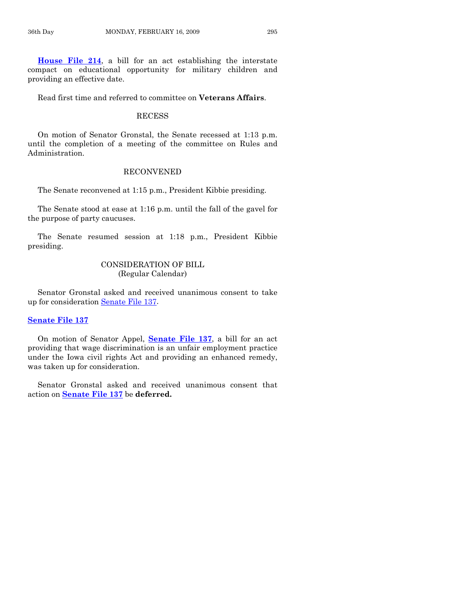**[House File 214](http://coolice.legis.state.ia.us/Cool-ICE/default.asp?Category=billinfo&Service=Billbook&frame=1&GA=83&hbill=HF214)**, a bill for an act establishing the interstate compact on educational opportunity for military children and providing an effective date.

Read first time and referred to committee on **Veterans Affairs**.

#### RECESS

 On motion of Senator Gronstal, the Senate recessed at 1:13 p.m. until the completion of a meeting of the committee on Rules and Administration.

#### RECONVENED

The Senate reconvened at 1:15 p.m., President Kibbie presiding.

 The Senate stood at ease at 1:16 p.m. until the fall of the gavel for the purpose of party caucuses.

 The Senate resumed session at 1:18 p.m., President Kibbie presiding.

## CONSIDERATION OF BILL (Regular Calendar)

 Senator Gronstal asked and received unanimous consent to take up for consideration [Senate File 137](http://coolice.legis.state.ia.us/Cool-ICE/default.asp?Category=billinfo&Service=Billbook&frame=1&GA=83&hbill=SF137).

## **[Senate File 137](http://coolice.legis.state.ia.us/Cool-ICE/default.asp?Category=billinfo&Service=Billbook&frame=1&GA=83&hbill=SF137)**

 On motion of Senator Appel, **[Senate File 137](http://coolice.legis.state.ia.us/Cool-ICE/default.asp?Category=billinfo&Service=Billbook&frame=1&GA=83&hbill=SF137)**, a bill for an act providing that wage discrimination is an unfair employment practice under the Iowa civil rights Act and providing an enhanced remedy, was taken up for consideration.

 Senator Gronstal asked and received unanimous consent that action on **[Senate File 137](http://coolice.legis.state.ia.us/Cool-ICE/default.asp?Category=billinfo&Service=Billbook&frame=1&GA=83&hbill=SF137)** be **deferred.**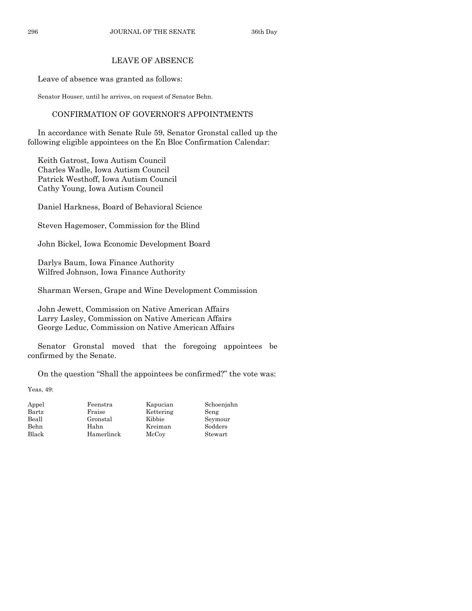## LEAVE OF ABSENCE

Leave of absence was granted as follows:

Senator Houser, until he arrives, on request of Senator Behn.

## CONFIRMATION OF GOVERNOR'S APPOINTMENTS

 In accordance with Senate Rule 59, Senator Gronstal called up the following eligible appointees on the En Bloc Confirmation Calendar:

 Keith Gatrost, Iowa Autism Council Charles Wadle, Iowa Autism Council Patrick Westhoff, Iowa Autism Council Cathy Young, Iowa Autism Council

Daniel Harkness, Board of Behavioral Science

Steven Hagemoser, Commission for the Blind

John Bickel, Iowa Economic Development Board

 Darlys Baum, Iowa Finance Authority Wilfred Johnson, Iowa Finance Authority

Sharman Wersen, Grape and Wine Development Commission

 John Jewett, Commission on Native American Affairs Larry Lasley, Commission on Native American Affairs George Leduc, Commission on Native American Affairs

 Senator Gronstal moved that the foregoing appointees be confirmed by the Senate.

On the question "Shall the appointees be confirmed?" the vote was:

Yeas, 49:

| Appel | Feenstra   | Kapucian  | Schoenjahn |
|-------|------------|-----------|------------|
| Bartz | Fraise     | Kettering | Seng       |
| Beall | Gronstal   | Kibbie    | Seymour    |
| Behn  | Hahn       | Kreiman   | Sodders    |
| Black | Hamerlinck | McCov     | Stewart    |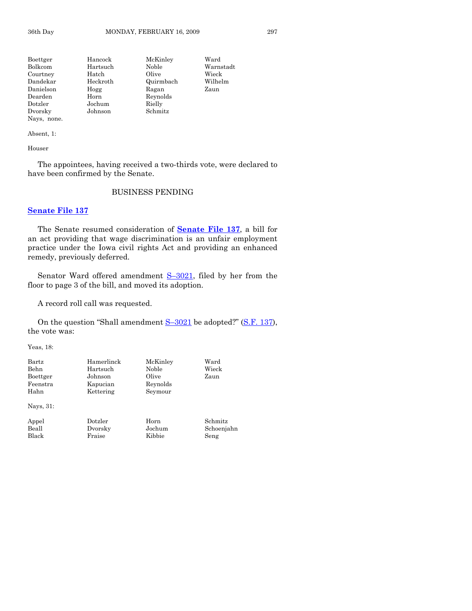Boettger Hancock McKinley Ward Bolkcom Hartsuch Noble Warnstadt Courtney Hatch Olive Wieck<br>
Dandekar Heckroth Quirmbach Wilhelm Quirmbach Danielson Hogg Ragan Zaun Dearden Horn Reynolds Dotzler Jochum Rielly Dvorsky Johnson Schmitz Nays, none.

Absent, 1:

Houser

 The appointees, having received a two-thirds vote, were declared to have been confirmed by the Senate.

## BUSINESS PENDING

#### **[Senate File 137](http://coolice.legis.state.ia.us/Cool-ICE/default.asp?Category=billinfo&Service=Billbook&frame=1&GA=83&hbill=SF137)**

 The Senate resumed consideration of **[Senate File 137](http://coolice.legis.state.ia.us/Cool-ICE/default.asp?Category=billinfo&Service=Billbook&frame=1&GA=83&hbill=SF137)**, a bill for an act providing that wage discrimination is an unfair employment practice under the Iowa civil rights Act and providing an enhanced remedy, previously deferred.

 Senator Ward offered amendment [S–3021,](http://coolice.legis.state.ia.us/Cool-ICE/default.asp?Category=billinfo&Service=Billbook&frame=1&GA=83&hbill=S3021) filed by her from the floor to page 3 of the bill, and moved its adoption.

A record roll call was requested.

On the question "Shall amendment S-3021 be adopted?" ([S.F. 137\)](http://coolice.legis.state.ia.us/Cool-ICE/default.asp?Category=billinfo&Service=Billbook&frame=1&GA=83&hbill=SF137), the vote was:

Yeas, 18:

| Bartz     | Hamerlinck | McKinley | Ward       |
|-----------|------------|----------|------------|
| Behn      | Hartsuch   | Noble    | Wieck      |
| Boettger  | Johnson    | Olive    | Zaun       |
| Feenstra  | Kapucian   | Reynolds |            |
| Hahn      | Kettering  | Seymour  |            |
| Nays, 31: |            |          |            |
| Appel     | Dotzler    | Horn     | Schmitz    |
| Beall     | Dvorsky    | Jochum   | Schoenjahn |
| Black     | Fraise     | Kibbie   | Seng       |
|           |            |          |            |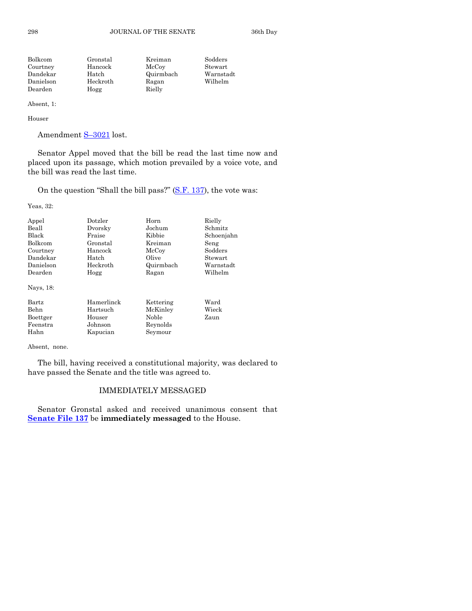298 JOURNAL OF THE SENATE 36th Day

| Stewart   |
|-----------|
| Warnstadt |
| Wilhelm   |
|           |
|           |

Absent, 1:

Houser

Amendment S-3021 lost.

 Senator Appel moved that the bill be read the last time now and placed upon its passage, which motion prevailed by a voice vote, and the bill was read the last time.

On the question "Shall the bill pass?"  $(S.F. 137)$  $(S.F. 137)$ , the vote was:

Yeas, 32:

| Appel                                                      | Dotzler                                                 | Horn                                                  | Rielly                |
|------------------------------------------------------------|---------------------------------------------------------|-------------------------------------------------------|-----------------------|
| Beall                                                      | Dvorsky                                                 | Jochum                                                | Schmitz               |
| Black                                                      | Fraise                                                  | Kibbie                                                | Schoenjahn            |
| Bolkcom                                                    | Gronstal                                                | Kreiman                                               | Seng                  |
| Courtney                                                   | Hancock                                                 | McCoy                                                 | Sodders               |
| Dandekar                                                   | Hatch                                                   | Olive                                                 | Stewart               |
| Danielson                                                  | Heckroth                                                | Quirmbach                                             | Warnstadt             |
| Dearden                                                    | Hogg                                                    | Ragan                                                 | Wilhelm               |
| Nays, 18:<br>Bartz<br>Behn<br>Boettger<br>Feenstra<br>Hahn | Hamerlinck<br>Hartsuch<br>Houser<br>Johnson<br>Kapucian | Kettering<br>McKinley<br>Noble<br>Reynolds<br>Seymour | Ward<br>Wieck<br>Zaun |

Absent, none.

 The bill, having received a constitutional majority, was declared to have passed the Senate and the title was agreed to.

## IMMEDIATELY MESSAGED

 Senator Gronstal asked and received unanimous consent that **[Senate File 137](http://coolice.legis.state.ia.us/Cool-ICE/default.asp?Category=billinfo&Service=Billbook&frame=1&GA=83&hbill=SF137)** be **immediately messaged** to the House.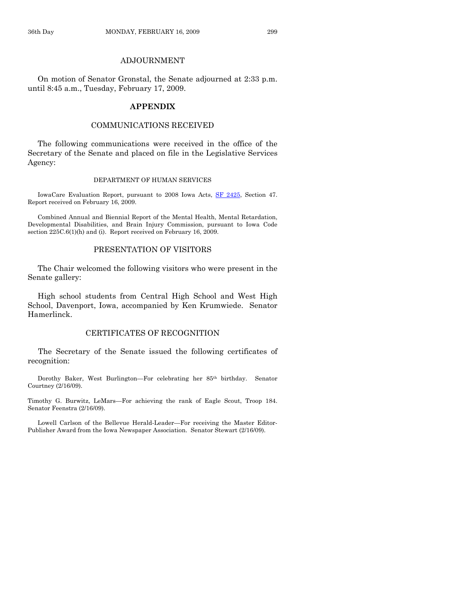## ADJOURNMENT

 On motion of Senator Gronstal, the Senate adjourned at 2:33 p.m. until 8:45 a.m., Tuesday, February 17, 2009.

## **APPENDIX**

### COMMUNICATIONS RECEIVED

 The following communications were received in the office of the Secretary of the Senate and placed on file in the Legislative Services Agency:

#### DEPARTMENT OF HUMAN SERVICES

 IowaCare Evaluation Report, pursuant to 2008 Iowa Acts, [SF 2425,](http://coolice.legis.state.ia.us/Cool-ICE/default.asp?Category=billinfo&Service=Billbook&frame=1&GA=83&hbill=SF2425) Section 47. Report received on February 16, 2009.

 Combined Annual and Biennial Report of the Mental Health, Mental Retardation, Developmental Disabilities, and Brain Injury Commission, pursuant to Iowa Code section 225C.6(1)(h) and (i). Report received on February 16, 2009.

#### PRESENTATION OF VISITORS

 The Chair welcomed the following visitors who were present in the Senate gallery:

 High school students from Central High School and West High School, Davenport, Iowa, accompanied by Ken Krumwiede. Senator Hamerlinck.

## CERTIFICATES OF RECOGNITION

 The Secretary of the Senate issued the following certificates of recognition:

Dorothy Baker, West Burlington—For celebrating her 85<sup>th</sup> birthday. Senator Courtney (2/16/09).

Timothy G. Burwitz, LeMars—For achieving the rank of Eagle Scout, Troop 184. Senator Feenstra (2/16/09).

 Lowell Carlson of the Bellevue Herald-Leader—For receiving the Master Editor-Publisher Award from the Iowa Newspaper Association. Senator Stewart (2/16/09).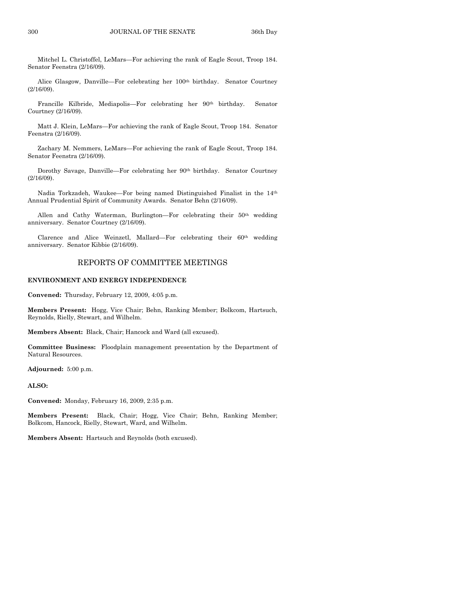Mitchel L. Christoffel, LeMars—For achieving the rank of Eagle Scout, Troop 184. Senator Feenstra (2/16/09).

Alice Glasgow, Danville—For celebrating her 100<sup>th</sup> birthday. Senator Courtney (2/16/09).

 Francille Kilbride, Mediapolis—For celebrating her 90th birthday. Senator Courtney (2/16/09).

 Matt J. Klein, LeMars—For achieving the rank of Eagle Scout, Troop 184. Senator Feenstra (2/16/09).

 Zachary M. Nemmers, LeMars—For achieving the rank of Eagle Scout, Troop 184. Senator Feenstra (2/16/09).

 Dorothy Savage, Danville—For celebrating her 90th birthday. Senator Courtney (2/16/09).

 Nadia Torkzadeh, Waukee—For being named Distinguished Finalist in the 14th Annual Prudential Spirit of Community Awards. Senator Behn (2/16/09).

Allen and Cathy Waterman, Burlington-For celebrating their 50<sup>th</sup> wedding anniversary. Senator Courtney (2/16/09).

Clarence and Alice Weinzetl, Mallard—For celebrating their 60th wedding anniversary. Senator Kibbie (2/16/09).

#### REPORTS OF COMMITTEE MEETINGS

#### **ENVIRONMENT AND ENERGY INDEPENDENCE**

**Convened:** Thursday, February 12, 2009, 4:05 p.m.

**Members Present:** Hogg, Vice Chair; Behn, Ranking Member; Bolkcom, Hartsuch, Reynolds, Rielly, Stewart, and Wilhelm.

**Members Absent:** Black, Chair; Hancock and Ward (all excused).

**Committee Business:** Floodplain management presentation by the Department of Natural Resources.

**Adjourned:** 5:00 p.m.

**ALSO:**

**Convened:** Monday, February 16, 2009, 2:35 p.m.

**Members Present:** Black, Chair; Hogg, Vice Chair; Behn, Ranking Member; Bolkcom, Hancock, Rielly, Stewart, Ward, and Wilhelm.

**Members Absent:** Hartsuch and Reynolds (both excused).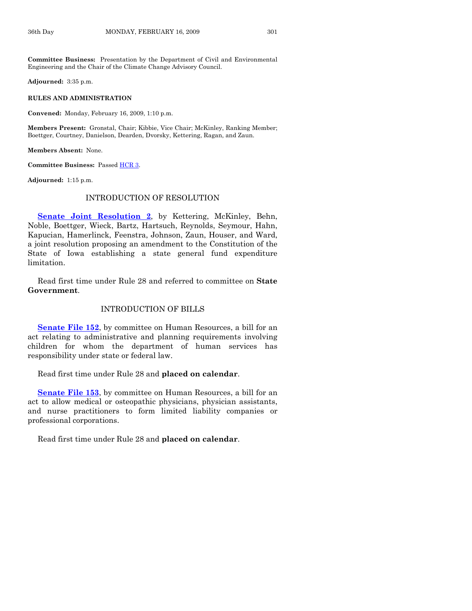**Committee Business:** Presentation by the Department of Civil and Environmental Engineering and the Chair of the Climate Change Advisory Council.

**Adjourned:** 3:35 p.m.

#### **RULES AND ADMINISTRATION**

**Convened:** Monday, February 16, 2009, 1:10 p.m.

**Members Present:** Gronstal, Chair; Kibbie, Vice Chair; McKinley, Ranking Member; Boettger, Courtney, Danielson, Dearden, Dvorsky, Kettering, Ragan, and Zaun.

**Members Absent:** None.

**Committee Business:** Passed [HCR 3](http://coolice.legis.state.ia.us/Cool-ICE/default.asp?Category=billinfo&Service=Billbook&frame=1&GA=83&hbill=HCR3).

**Adjourned:** 1:15 p.m.

#### INTRODUCTION OF RESOLUTION

**[Senate Joint Resolution 2](http://coolice.legis.state.ia.us/Cool-ICE/default.asp?Category=billinfo&Service=Billbook&frame=1&GA=83&hbill=SJR2)**, by Kettering, McKinley, Behn, Noble, Boettger, Wieck, Bartz, Hartsuch, Reynolds, Seymour, Hahn, Kapucian, Hamerlinck, Feenstra, Johnson, Zaun, Houser, and Ward, a joint resolution proposing an amendment to the Constitution of the State of Iowa establishing a state general fund expenditure limitation.

 Read first time under Rule 28 and referred to committee on **State Government**.

#### INTRODUCTION OF BILLS

**[Senate File 152](http://coolice.legis.state.ia.us/Cool-ICE/default.asp?Category=billinfo&Service=Billbook&frame=1&GA=83&hbill=SF152)**, by committee on Human Resources, a bill for an act relating to administrative and planning requirements involving children for whom the department of human services has responsibility under state or federal law.

Read first time under Rule 28 and **placed on calendar**.

**[Senate File 153](http://coolice.legis.state.ia.us/Cool-ICE/default.asp?Category=billinfo&Service=Billbook&frame=1&GA=83&hbill=SF153)**, by committee on Human Resources, a bill for an act to allow medical or osteopathic physicians, physician assistants, and nurse practitioners to form limited liability companies or professional corporations.

Read first time under Rule 28 and **placed on calendar**.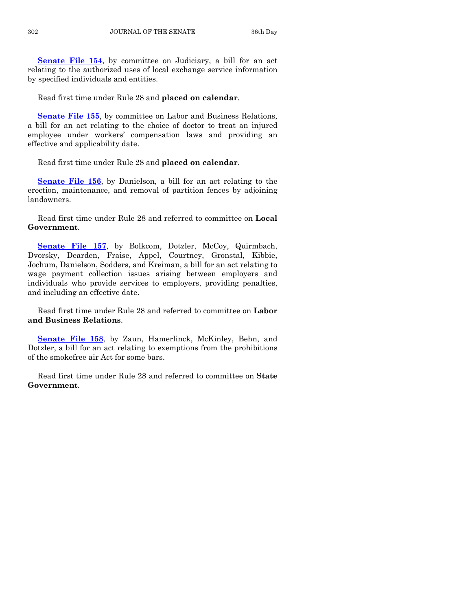**[Senate File 154](http://coolice.legis.state.ia.us/Cool-ICE/default.asp?Category=billinfo&Service=Billbook&frame=1&GA=83&hbill=SF154)**, by committee on Judiciary, a bill for an act relating to the authorized uses of local exchange service information by specified individuals and entities.

Read first time under Rule 28 and **placed on calendar**.

**[Senate File 155](http://coolice.legis.state.ia.us/Cool-ICE/default.asp?Category=billinfo&Service=Billbook&frame=1&GA=83&hbill=SF155)**, by committee on Labor and Business Relations, a bill for an act relating to the choice of doctor to treat an injured employee under workers' compensation laws and providing an effective and applicability date.

Read first time under Rule 28 and **placed on calendar**.

**[Senate File 156](http://coolice.legis.state.ia.us/Cool-ICE/default.asp?Category=billinfo&Service=Billbook&frame=1&GA=83&hbill=SF156)**, by Danielson, a bill for an act relating to the erection, maintenance, and removal of partition fences by adjoining landowners.

 Read first time under Rule 28 and referred to committee on **Local Government**.

[Senate File 157](http://coolice.legis.state.ia.us/Cool-ICE/default.asp?Category=billinfo&Service=Billbook&frame=1&GA=83&hbill=SF157), by Bolkcom, Dotzler, McCoy, Quirmbach, Dvorsky, Dearden, Fraise, Appel, Courtney, Gronstal, Kibbie, Jochum, Danielson, Sodders, and Kreiman, a bill for an act relating to wage payment collection issues arising between employers and individuals who provide services to employers, providing penalties, and including an effective date.

 Read first time under Rule 28 and referred to committee on **Labor and Business Relations**.

**[Senate File 158](http://coolice.legis.state.ia.us/Cool-ICE/default.asp?Category=billinfo&Service=Billbook&frame=1&GA=83&hbill=SF158)**, by Zaun, Hamerlinck, McKinley, Behn, and Dotzler, a bill for an act relating to exemptions from the prohibitions of the smokefree air Act for some bars.

 Read first time under Rule 28 and referred to committee on **State Government**.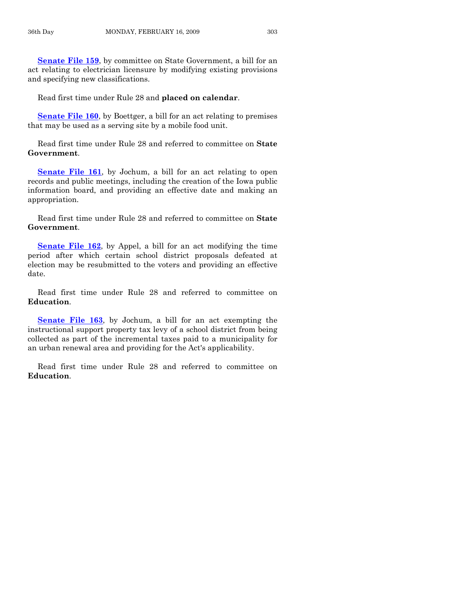**[Senate File 159](http://coolice.legis.state.ia.us/Cool-ICE/default.asp?Category=billinfo&Service=Billbook&frame=1&GA=83&hbill=SF159),** by committee on State Government, a bill for an act relating to electrician licensure by modifying existing provisions and specifying new classifications.

Read first time under Rule 28 and **placed on calendar**.

**[Senate File 160](http://coolice.legis.state.ia.us/Cool-ICE/default.asp?Category=billinfo&Service=Billbook&frame=1&GA=83&hbill=SF160)**, by Boettger, a bill for an act relating to premises that may be used as a serving site by a mobile food unit.

 Read first time under Rule 28 and referred to committee on **State Government**.

**[Senate File 161](http://coolice.legis.state.ia.us/Cool-ICE/default.asp?Category=billinfo&Service=Billbook&frame=1&GA=83&hbill=SF161)**, by Jochum, a bill for an act relating to open records and public meetings, including the creation of the Iowa public information board, and providing an effective date and making an appropriation.

 Read first time under Rule 28 and referred to committee on **State Government**.

**[Senate File 162](http://coolice.legis.state.ia.us/Cool-ICE/default.asp?Category=billinfo&Service=Billbook&frame=1&GA=83&hbill=SF162)**, by Appel, a bill for an act modifying the time period after which certain school district proposals defeated at election may be resubmitted to the voters and providing an effective date.

 Read first time under Rule 28 and referred to committee on **Education**.

**[Senate File 163](http://coolice.legis.state.ia.us/Cool-ICE/default.asp?Category=billinfo&Service=Billbook&frame=1&GA=83&hbill=SF163)**, by Jochum, a bill for an act exempting the instructional support property tax levy of a school district from being collected as part of the incremental taxes paid to a municipality for an urban renewal area and providing for the Act's applicability.

 Read first time under Rule 28 and referred to committee on **Education**.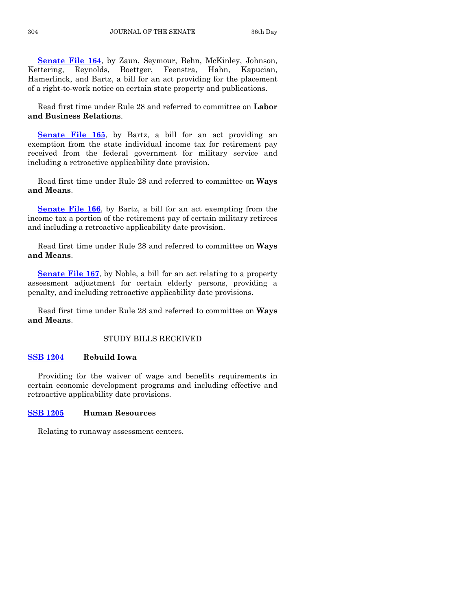**[Senate File 164](http://coolice.legis.state.ia.us/Cool-ICE/default.asp?Category=billinfo&Service=Billbook&frame=1&GA=83&hbill=SF164)**, by Zaun, Seymour, Behn, McKinley, Johnson, Kettering, Reynolds, Boettger, Feenstra, Hahn, Kapucian, Hamerlinck, and Bartz, a bill for an act providing for the placement of a right-to-work notice on certain state property and publications.

 Read first time under Rule 28 and referred to committee on **Labor and Business Relations**.

**[Senate File 165](http://coolice.legis.state.ia.us/Cool-ICE/default.asp?Category=billinfo&Service=Billbook&frame=1&GA=83&hbill=SF165)**, by Bartz, a bill for an act providing an exemption from the state individual income tax for retirement pay received from the federal government for military service and including a retroactive applicability date provision.

 Read first time under Rule 28 and referred to committee on **Ways and Means**.

**[Senate File 166](http://coolice.legis.state.ia.us/Cool-ICE/default.asp?Category=billinfo&Service=Billbook&frame=1&GA=83&hbill=SF166)**, by Bartz, a bill for an act exempting from the income tax a portion of the retirement pay of certain military retirees and including a retroactive applicability date provision.

 Read first time under Rule 28 and referred to committee on **Ways and Means**.

**[Senate File 167](http://coolice.legis.state.ia.us/Cool-ICE/default.asp?Category=billinfo&Service=Billbook&frame=1&GA=83&hbill=SF167)**, by Noble, a bill for an act relating to a property assessment adjustment for certain elderly persons, providing a penalty, and including retroactive applicability date provisions.

 Read first time under Rule 28 and referred to committee on **Ways and Means**.

#### STUDY BILLS RECEIVED

## **[SSB 1204](http://coolice.legis.state.ia.us/Cool-ICE/default.asp?Category=billinfo&Service=Billbook&frame=1&GA=83&hbill=SSB1204) Rebuild Iowa**

 Providing for the waiver of wage and benefits requirements in certain economic development programs and including effective and retroactive applicability date provisions.

#### **[SSB 1205](http://coolice.legis.state.ia.us/Cool-ICE/default.asp?Category=billinfo&Service=Billbook&frame=1&GA=83&hbill=SSB1205) Human Resources**

Relating to runaway assessment centers.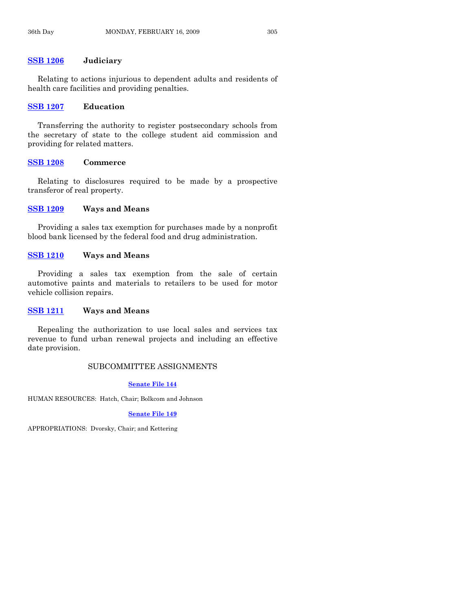#### **[SSB 1206](http://coolice.legis.state.ia.us/Cool-ICE/default.asp?Category=billinfo&Service=Billbook&frame=1&GA=83&hbill=SSB1206) Judiciary**

 Relating to actions injurious to dependent adults and residents of health care facilities and providing penalties.

## **[SSB 1207](http://coolice.legis.state.ia.us/Cool-ICE/default.asp?Category=billinfo&Service=Billbook&frame=1&GA=83&hbill=SSB1207) Education**

 Transferring the authority to register postsecondary schools from the secretary of state to the college student aid commission and providing for related matters.

#### **[SSB 1208](http://coolice.legis.state.ia.us/Cool-ICE/default.asp?Category=billinfo&Service=Billbook&frame=1&GA=83&hbill=SSB1208) Commerce**

 Relating to disclosures required to be made by a prospective transferor of real property.

#### **[SSB 1209](http://coolice.legis.state.ia.us/Cool-ICE/default.asp?Category=billinfo&Service=Billbook&frame=1&GA=83&hbill=SSB1209) Ways and Means**

 Providing a sales tax exemption for purchases made by a nonprofit blood bank licensed by the federal food and drug administration.

## **[SSB 1210](http://coolice.legis.state.ia.us/Cool-ICE/default.asp?Category=billinfo&Service=Billbook&frame=1&GA=83&hbill=SSB1210) Ways and Means**

 Providing a sales tax exemption from the sale of certain automotive paints and materials to retailers to be used for motor vehicle collision repairs.

#### **[SSB 1211](http://coolice.legis.state.ia.us/Cool-ICE/default.asp?Category=billinfo&Service=Billbook&frame=1&GA=83&hbill=SSB1211) Ways and Means**

 Repealing the authorization to use local sales and services tax revenue to fund urban renewal projects and including an effective date provision.

#### SUBCOMMITTEE ASSIGNMENTS

#### **[Senate File 144](http://coolice.legis.state.ia.us/Cool-ICE/default.asp?Category=billinfo&Service=Billbook&frame=1&GA=83&hbill=SF144)**

HUMAN RESOURCES: Hatch, Chair; Bolkcom and Johnson

#### **[Senate File 149](http://coolice.legis.state.ia.us/Cool-ICE/default.asp?Category=billinfo&Service=Billbook&frame=1&GA=83&hbill=SF149)**

APPROPRIATIONS: Dvorsky, Chair; and Kettering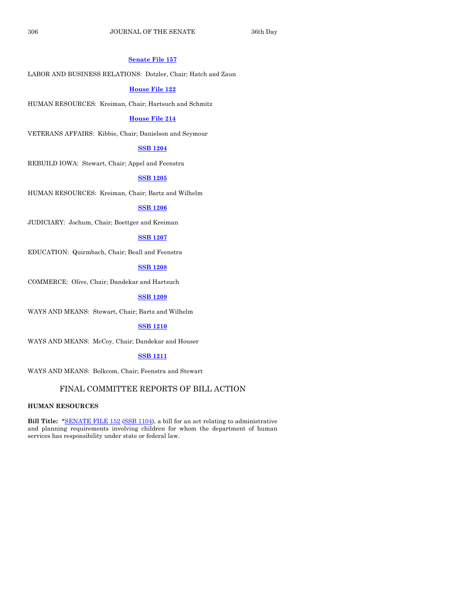#### **[Senate File 157](http://coolice.legis.state.ia.us/Cool-ICE/default.asp?Category=billinfo&Service=Billbook&frame=1&GA=83&hbill=SF157)**

#### LABOR AND BUSINESS RELATIONS: Dotzler, Chair; Hatch and Zaun

#### **[House File 122](http://coolice.legis.state.ia.us/Cool-ICE/default.asp?Category=billinfo&Service=Billbook&frame=1&GA=83&hbill=HF122)**

HUMAN RESOURCES: Kreiman, Chair; Hartsuch and Schmitz

#### **[House File 214](http://coolice.legis.state.ia.us/Cool-ICE/default.asp?Category=billinfo&Service=Billbook&frame=1&GA=83&hbill=HF214)**

VETERANS AFFAIRS: Kibbie, Chair; Danielson and Seymour

#### **[SSB 1204](http://coolice.legis.state.ia.us/Cool-ICE/default.asp?Category=billinfo&Service=Billbook&frame=1&GA=83&hbill=SSB1204)**

REBUILD IOWA: Stewart, Chair; Appel and Feenstra

## **[SSB 1205](http://coolice.legis.state.ia.us/Cool-ICE/default.asp?Category=billinfo&Service=Billbook&frame=1&GA=83&hbill=SSB1205)**

HUMAN RESOURCES: Kreiman, Chair; Bartz and Wilhelm

## **[SSB 1206](http://coolice.legis.state.ia.us/Cool-ICE/default.asp?Category=billinfo&Service=Billbook&frame=1&GA=83&hbill=SSB1206)**

JUDICIARY: Jochum, Chair; Boettger and Kreiman

#### **[SSB 1207](http://coolice.legis.state.ia.us/Cool-ICE/default.asp?Category=billinfo&Service=Billbook&frame=1&GA=83&hbill=SSB1207)**

EDUCATION: Quirmbach, Chair; Beall and Feenstra

## **[SSB 1208](http://coolice.legis.state.ia.us/Cool-ICE/default.asp?Category=billinfo&Service=Billbook&frame=1&GA=83&hbill=SSB1208)**

COMMERCE: Olive, Chair; Dandekar and Hartsuch

#### **[SSB 1209](http://coolice.legis.state.ia.us/Cool-ICE/default.asp?Category=billinfo&Service=Billbook&frame=1&GA=83&hbill=SSB1209)**

WAYS AND MEANS: Stewart, Chair; Bartz and Wilhelm

#### **[SSB 1210](http://coolice.legis.state.ia.us/Cool-ICE/default.asp?Category=billinfo&Service=Billbook&frame=1&GA=83&hbill=SSB1210)**

WAYS AND MEANS: McCoy, Chair; Dandekar and Houser

#### **[SSB 1211](http://coolice.legis.state.ia.us/Cool-ICE/default.asp?Category=billinfo&Service=Billbook&frame=1&GA=83&hbill=SSB1211)**

WAYS AND MEANS: Bolkcom, Chair; Feenstra and Stewart

## FINAL COMMITTEE REPORTS OF BILL ACTION

#### **HUMAN RESOURCES**

**Bill Title:** \*[SENATE FILE 152](http://coolice.legis.state.ia.us/Cool-ICE/default.asp?Category=billinfo&Service=Billbook&frame=1&GA=83&hbill=SF152) [\(SSB 1104](http://coolice.legis.state.ia.us/Cool-ICE/default.asp?Category=billinfo&Service=Billbook&frame=1&GA=83&hbill=SSB1104)), a bill for an act relating to administrative and planning requirements involving children for whom the department of human services has responsibility under state or federal law.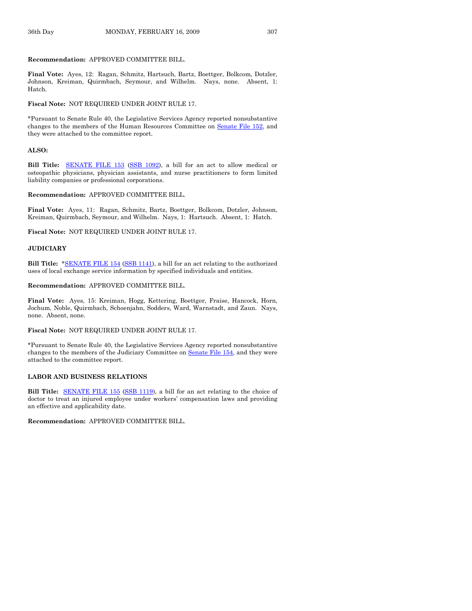#### **Recommendation:** APPROVED COMMITTEE BILL.

**Final Vote:** Ayes, 12: Ragan, Schmitz, Hartsuch, Bartz, Boettger, Bolkcom, Dotzler, Johnson, Kreiman, Quirmbach, Seymour, and Wilhelm. Nays, none. Absent, 1: Hatch.

#### **Fiscal Note:** NOT REQUIRED UNDER JOINT RULE 17.

\*Pursuant to Senate Rule 40, the Legislative Services Agency reported nonsubstantive changes to the members of the Human Resources Committee on [Senate File 152,](http://coolice.legis.state.ia.us/Cool-ICE/default.asp?Category=billinfo&Service=Billbook&frame=1&GA=83&hbill=SF152) and they were attached to the committee report.

#### **ALSO:**

**Bill Title:** [SENATE FILE 153](http://coolice.legis.state.ia.us/Cool-ICE/default.asp?Category=billinfo&Service=Billbook&frame=1&GA=83&hbill=SF153) [\(SSB 1092](http://coolice.legis.state.ia.us/Cool-ICE/default.asp?Category=billinfo&Service=Billbook&frame=1&GA=83&hbill=SSB1092)), a bill for an act to allow medical or osteopathic physicians, physician assistants, and nurse practitioners to form limited liability companies or professional corporations.

#### **Recommendation:** APPROVED COMMITTEE BILL.

**Final Vote:** Ayes, 11: Ragan, Schmitz, Bartz, Boettger, Bolkcom, Dotzler, Johnson, Kreiman, Quirmbach, Seymour, and Wilhelm. Nays, 1: Hartsuch. Absent, 1: Hatch.

**Fiscal Note:** NOT REQUIRED UNDER JOINT RULE 17.

#### **JUDICIARY**

**Bill Title:** \*[SENATE FILE 154](http://coolice.legis.state.ia.us/Cool-ICE/default.asp?Category=billinfo&Service=Billbook&frame=1&GA=83&hbill=SF154) [\(SSB 1141](http://coolice.legis.state.ia.us/Cool-ICE/default.asp?Category=billinfo&Service=Billbook&frame=1&GA=83&hbill=SSB1141)), a bill for an act relating to the authorized uses of local exchange service information by specified individuals and entities.

#### **Recommendation:** APPROVED COMMITTEE BILL.

**Final Vote:** Ayes, 15: Kreiman, Hogg, Kettering, Boettger, Fraise, Hancock, Horn, Jochum, Noble, Quirmbach, Schoenjahn, Sodders, Ward, Warnstadt, and Zaun. Nays, none. Absent, none.

#### **Fiscal Note:** NOT REQUIRED UNDER JOINT RULE 17.

\*Pursuant to Senate Rule 40, the Legislative Services Agency reported nonsubstantive changes to the members of the Judiciary Committee on [Senate File 154](http://coolice.legis.state.ia.us/Cool-ICE/default.asp?Category=billinfo&Service=Billbook&frame=1&GA=83&hbill=SF154), and they were attached to the committee report.

#### **LABOR AND BUSINESS RELATIONS**

**Bill Title:** [SENATE FILE 155](http://coolice.legis.state.ia.us/Cool-ICE/default.asp?Category=billinfo&Service=Billbook&frame=1&GA=83&hbill=SF155) ([SSB 1119](http://coolice.legis.state.ia.us/Cool-ICE/default.asp?Category=billinfo&Service=Billbook&frame=1&GA=83&hbill=SSB1119)), a bill for an act relating to the choice of doctor to treat an injured employee under workers' compensation laws and providing an effective and applicability date.

**Recommendation:** APPROVED COMMITTEE BILL.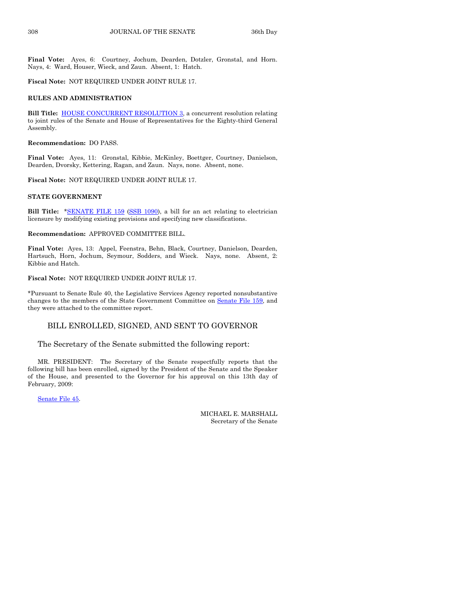**Final Vote:** Ayes, 6: Courtney, Jochum, Dearden, Dotzler, Gronstal, and Horn. Nays, 4: Ward, Houser, Wieck, and Zaun. Absent, 1: Hatch.

**Fiscal Note:** NOT REQUIRED UNDER JOINT RULE 17.

#### **RULES AND ADMINISTRATION**

**Bill Title:** [HOUSE CONCURRENT RESOLUTION 3](http://coolice.legis.state.ia.us/Cool-ICE/default.asp?Category=billinfo&Service=Billbook&frame=1&GA=83&hbill=HCR3), a concurrent resolution relating to joint rules of the Senate and House of Representatives for the Eighty-third General Assembly.

**Recommendation:** DO PASS.

**Final Vote:** Ayes, 11: Gronstal, Kibbie, McKinley, Boettger, Courtney, Danielson, Dearden, Dvorsky, Kettering, Ragan, and Zaun. Nays, none. Absent, none.

**Fiscal Note:** NOT REQUIRED UNDER JOINT RULE 17.

#### **STATE GOVERNMENT**

**Bill Title:** [\\*SENATE FILE 159](http://coolice.legis.state.ia.us/Cool-ICE/default.asp?Category=billinfo&Service=Billbook&frame=1&GA=83&hbill=SF159) ([SSB 1090\)](http://coolice.legis.state.ia.us/Cool-ICE/default.asp?Category=billinfo&Service=Billbook&frame=1&GA=83&hbill=SSB1090), a bill for an act relating to electrician licensure by modifying existing provisions and specifying new classifications.

#### **Recommendation:** APPROVED COMMITTEE BILL.

**Final Vote:** Ayes, 13: Appel, Feenstra, Behn, Black, Courtney, Danielson, Dearden, Hartsuch, Horn, Jochum, Seymour, Sodders, and Wieck. Nays, none. Absent, 2: Kibbie and Hatch.

#### **Fiscal Note:** NOT REQUIRED UNDER JOINT RULE 17.

\*Pursuant to Senate Rule 40, the Legislative Services Agency reported nonsubstantive changes to the members of the State Government Committee on [Senate File 159,](http://coolice.legis.state.ia.us/Cool-ICE/default.asp?Category=billinfo&Service=Billbook&frame=1&GA=83&hbill=SF159) and they were attached to the committee report.

## BILL ENROLLED, SIGNED, AND SENT TO GOVERNOR

#### The Secretary of the Senate submitted the following report:

 MR. PRESIDENT: The Secretary of the Senate respectfully reports that the following bill has been enrolled, signed by the President of the Senate and the Speaker of the House, and presented to the Governor for his approval on this 13th day of February, 2009:

[Senate File 45](http://coolice.legis.state.ia.us/Cool-ICE/default.asp?Category=billinfo&Service=Billbook&frame=1&GA=83&hbill=SF45).

MICHAEL E. MARSHALL Secretary of the Senate